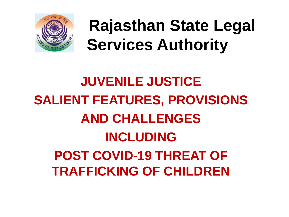

**Rajasthan State Legal Services Authority**

### **JUVENILE JUSTICE SALIENT FEATURES, PROVISIONS AND CHALLENGES INCLUDING POST COVID-19 THREAT OF TRAFFICKING OF CHILDREN**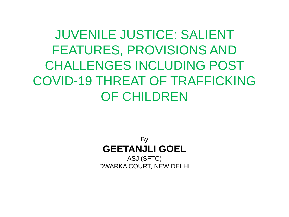JUVENILE JUSTICE: SALIENT FEATURES, PROVISIONS AND CHALLENGES INCLUDING POST COVID-19 THREAT OF TRAFFICKING OF CHILDREN

> By **GEETANJLI GOEL** ASJ (SFTC)

DWARKA COURT, NEW DELHI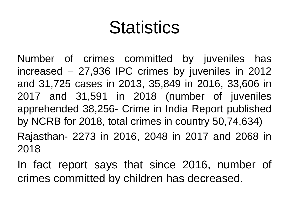## **Statistics**

Number of crimes committed by juveniles has increased – 27,936 IPC crimes by juveniles in 2012 and 31,725 cases in 2013, 35,849 in 2016, 33,606 in 2017 and 31,591 in 2018 (number of juveniles apprehended 38,256- Crime in India Report published by NCRB for 2018, total crimes in country 50,74,634) Rajasthan- 2273 in 2016, 2048 in 2017 and 2068 in 2018

In fact report says that since 2016, number of crimes committed by children has decreased.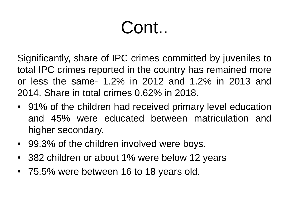# Cont..

Significantly, share of IPC crimes committed by juveniles to total IPC crimes reported in the country has remained more or less the same- 1.2% in 2012 and 1.2% in 2013 and 2014. Share in total crimes 0.62% in 2018.

- 91% of the children had received primary level education and 45% were educated between matriculation and higher secondary.
- 99.3% of the children involved were boys.
- 382 children or about 1% were below 12 years
- 75.5% were between 16 to 18 years old.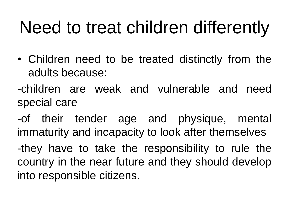# Need to treat children differently

- Children need to be treated distinctly from the adults because:
- -children are weak and vulnerable and need special care
- -of their tender age and physique, mental immaturity and incapacity to look after themselves
- -they have to take the responsibility to rule the country in the near future and they should develop into responsible citizens.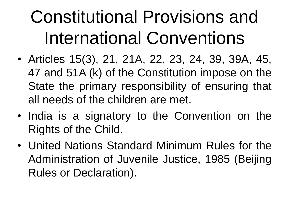# Constitutional Provisions and International Conventions

- Articles 15(3), 21, 21A, 22, 23, 24, 39, 39A, 45, 47 and 51A (k) of the Constitution impose on the State the primary responsibility of ensuring that all needs of the children are met.
- India is a signatory to the Convention on the Rights of the Child.
- United Nations Standard Minimum Rules for the Administration of Juvenile Justice, 1985 (Beijing Rules or Declaration).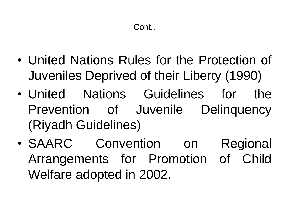- United Nations Rules for the Protection of Juveniles Deprived of their Liberty (1990)
- United Nations Guidelines for the Prevention of Juvenile Delinquency (Riyadh Guidelines)
- SAARC Convention on Regional Arrangements for Promotion of Child Welfare adopted in 2002.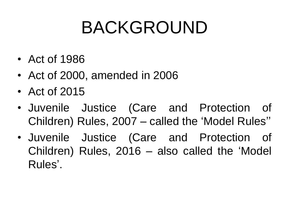# BACKGROUND

- Act of 1986
- Act of 2000, amended in 2006
- Act of 2015
- Juvenile Justice (Care and Protection of Children) Rules, 2007 – called the 'Model Rules''
- Juvenile Justice (Care and Protection of Children) Rules, 2016 – also called the 'Model Rules'.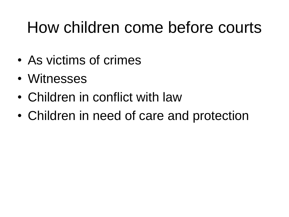### How children come before courts

- As victims of crimes
- Witnesses
- Children in conflict with law
- Children in need of care and protection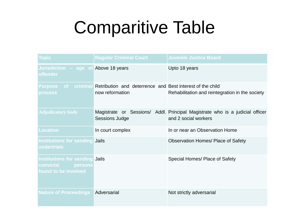# Comparitive Table

| <b>Topic</b>                                                                          | <b>Regular Criminal Court</b>                                                                    | <b>Juvenile Justice Board</b>                                                                        |
|---------------------------------------------------------------------------------------|--------------------------------------------------------------------------------------------------|------------------------------------------------------------------------------------------------------|
| Jurisdiction - age of Above 18 years<br><b>offender</b>                               |                                                                                                  | Upto 18 years                                                                                        |
| <b>process</b>                                                                        | Purpose of criminal Retribution and deterrence and Best interest of the child<br>now reformation | Rehabilitation and reintegration in the society                                                      |
| <b>Adjudicatory body</b>                                                              | <b>Sessions Judge</b>                                                                            | Magistrate or Sessions/ Addl. Principal Magistrate who is a judicial officer<br>and 2 social workers |
| <b>Location</b>                                                                       | In court complex                                                                                 | In or near an Observation Home                                                                       |
| <b>Institutions for sending Jails</b><br>undertrials                                  |                                                                                                  | <b>Observation Homes/ Place of Safety</b>                                                            |
| Institutions for sending Jails<br><b>convicts/</b><br>persons<br>found to be involved |                                                                                                  | Special Homes/ Place of Safety                                                                       |
| <b>Nature of Proceedings</b>                                                          | Adversarial                                                                                      | Not strictly adversarial                                                                             |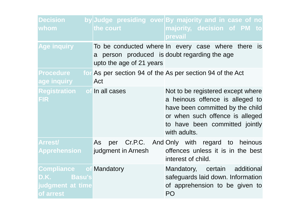| <b>Decision</b><br>whom                                                        | the court                                                                | by Judge presiding over By majority and in case of no<br>majority, decision of PM to<br>prevail                                                                                               |
|--------------------------------------------------------------------------------|--------------------------------------------------------------------------|-----------------------------------------------------------------------------------------------------------------------------------------------------------------------------------------------|
| <b>Age inquiry</b>                                                             | a person produced is doubt regarding the age<br>upto the age of 21 years | To be conducted where In every case where there is                                                                                                                                            |
| <b>Procedure</b><br>age inquiry                                                | Act                                                                      | for As per section 94 of the As per section 94 of the Act                                                                                                                                     |
| <b>Registration</b> of In all cases<br><b>FIR</b>                              |                                                                          | Not to be registered except where<br>a heinous offence is alleged to<br>have been committed by the child<br>or when such offence is alleged<br>to have been committed jointly<br>with adults. |
| <b>Arrest/</b><br>Apprehension                                                 | As<br>per<br>judgment in Arnesh                                          | Cr.P.C. And Only with regard to heinous<br>offences unless it is in the best<br>interest of child.                                                                                            |
| <b>Compliance of Mandatory</b><br>D.K. Basu's<br>judgment at time<br>of arrest |                                                                          | Mandatory, certain additional<br>safeguards laid down. Information<br>of apprehension to be given to<br>P <sub>O</sub>                                                                        |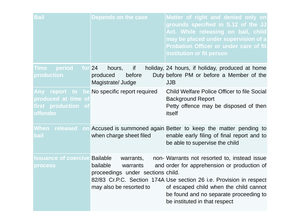| Bail                                                           | Depends on the case                                                                               | Matter of right and denied only on<br>grounds specified in S.12 of the JJ<br>Act. While releasing on bail, child<br>may be placed under supervision of a<br>Probation Officer or under care of fit<br>institution or fit person                                                        |
|----------------------------------------------------------------|---------------------------------------------------------------------------------------------------|----------------------------------------------------------------------------------------------------------------------------------------------------------------------------------------------------------------------------------------------------------------------------------------|
| period for 24<br><b>Time</b><br>production                     | hours,<br>if<br>before<br>produced<br>Magistrate/Judge                                            | holiday, 24 hours, if holiday, produced at home<br>Duty before PM or before a Member of the<br><b>JJB</b>                                                                                                                                                                              |
| Any:<br>produced at time of<br>first production of<br>offender | report to be No specific report required                                                          | <b>Child Welfare Police Officer to file Social</b><br><b>Background Report</b><br>Petty offence may be disposed of then<br>itself                                                                                                                                                      |
| When released<br>bail                                          | when charge sheet filed                                                                           | on Accused is summoned again Better to keep the matter pending to<br>enable early filing of final report and to<br>be able to supervise the child                                                                                                                                      |
| <b>Issuance of coercive Bailable</b><br><b>process</b>         | warrants,<br>bailable<br>warrants<br>proceedings under sections child.<br>may also be resorted to | non-Warrants not resorted to, instead issue<br>and order for apprehension or production of<br>82/83 Cr.P.C. Section 174A Use section 26 i.e. Provision in respect<br>of escaped child when the child cannot<br>be found and no separate proceeding to<br>be instituted in that respect |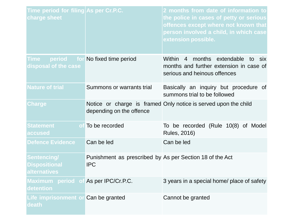| Time period for filing As per Cr.P.C.<br>charge sheet             |                                                                        | 2 months from date of information to<br>the police in cases of petty or serious<br>offences except where not known that<br>person involved a child, in which case<br>extension possible. |
|-------------------------------------------------------------------|------------------------------------------------------------------------|------------------------------------------------------------------------------------------------------------------------------------------------------------------------------------------|
| <b>Time</b><br>disposal of the case                               | period for No fixed time period                                        | Within 4 months extendable to six<br>months and further extension in case of<br>serious and heinous offences                                                                             |
| <b>Nature of trial</b>                                            | Summons or warrants trial                                              | Basically an inquiry but procedure of<br>summons trial to be followed                                                                                                                    |
| <b>Charge</b>                                                     | depending on the offence                                               | Notice or charge is framed Only notice is served upon the child                                                                                                                          |
| <b>Statement</b><br>accused                                       | of To be recorded                                                      | To be recorded (Rule 10(8) of Model<br><b>Rules, 2016)</b>                                                                                                                               |
| <b>Defence Evidence</b>                                           | Can be led                                                             | Can be led                                                                                                                                                                               |
| <b>Sentencing/</b><br><b>Dispositional</b><br><b>alternatives</b> | Punishment as prescribed by As per Section 18 of the Act<br><b>IPC</b> |                                                                                                                                                                                          |
| Maximum period of As per IPC/Cr.P.C.<br>detention                 |                                                                        | 3 years in a special home/ place of safety                                                                                                                                               |
| Life imprisonment or Can be granted<br>death                      |                                                                        | Cannot be granted                                                                                                                                                                        |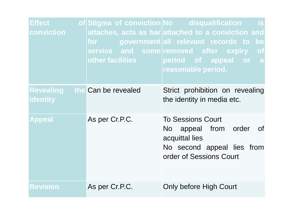| Effect,<br>conviction        | other facilities and the state | of Stigma of conviction No disqualification<br><b>is</b><br>attaches, acts as bar attached to a conviction and<br>for government all relevant records to be<br>service and some removed after expiry of<br>period of appeal or a<br>reasonable period. |
|------------------------------|--------------------------------|--------------------------------------------------------------------------------------------------------------------------------------------------------------------------------------------------------------------------------------------------------|
| <b>Revealing</b><br>identity | the Can be revealed            | Strict prohibition on revealing<br>the identity in media etc.                                                                                                                                                                                          |
| <b>Appeal</b>                | As per Cr.P.C.                 | <b>To Sessions Court</b><br>No appeal from order<br>of<br>acquittal lies<br>No second appeal lies from<br>order of Sessions Court                                                                                                                      |
| <b>Revision</b>              | As per Cr.P.C.                 | Only before High Court                                                                                                                                                                                                                                 |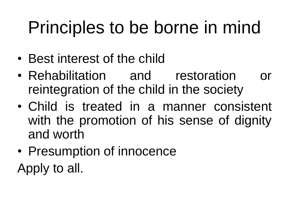# Principles to be borne in mind

- Best interest of the child
- Rehabilitation and restoration or reintegration of the child in the society
- Child is treated in a manner consistent with the promotion of his sense of dignity and worth
- Presumption of innocence

Apply to all.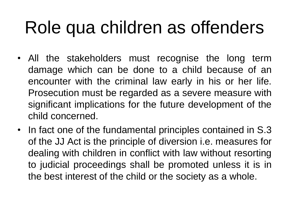# Role qua children as offenders

- All the stakeholders must recognise the long term damage which can be done to a child because of an encounter with the criminal law early in his or her life. Prosecution must be regarded as a severe measure with significant implications for the future development of the child concerned.
- In fact one of the fundamental principles contained in S.3 of the JJ Act is the principle of diversion i.e. measures for dealing with children in conflict with law without resorting to judicial proceedings shall be promoted unless it is in the best interest of the child or the society as a whole.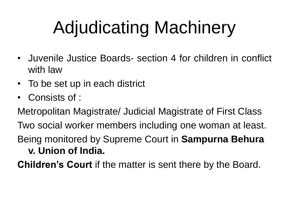# Adjudicating Machinery

- Juvenile Justice Boards- section 4 for children in conflict with law
- To be set up in each district
- Consists of :

Metropolitan Magistrate/ Judicial Magistrate of First Class Two social worker members including one woman at least. Being monitored by Supreme Court in **Sampurna Behura v. Union of India.**

**Children's Court** if the matter is sent there by the Board.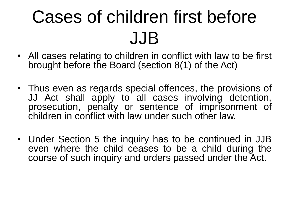# Cases of children first before JJB

- All cases relating to children in conflict with law to be first brought before the Board (section 8(1) of the Act)
- Thus even as regards special offences, the provisions of JJ Act shall apply to all cases involving detention, prosecution, penalty or sentence of imprisonment of children in conflict with law under such other law.
- Under Section 5 the inquiry has to be continued in JJB even where the child ceases to be a child during the course of such inquiry and orders passed under the Act.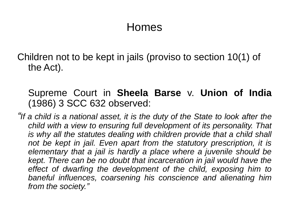#### Homes

Children not to be kept in jails (proviso to section 10(1) of the Act).

#### Supreme Court in **Sheela Barse** v. **Union of India** (1986) 3 SCC 632 observed:

*"If a child is a national asset, it is the duty of the State to look after the child with a view to ensuring full development of its personality. That is why all the statutes dealing with children provide that a child shall not be kept in jail. Even apart from the statutory prescription, it is elementary that a jail is hardly a place where a juvenile should be kept. There can be no doubt that incarceration in jail would have the effect of dwarfing the development of the child, exposing him to baneful influences, coarsening his conscience and alienating him from the society."*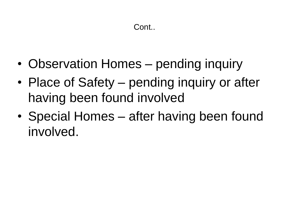- Observation Homes pending inquiry
- Place of Safety pending inquiry or after having been found involved
- Special Homes after having been found involved.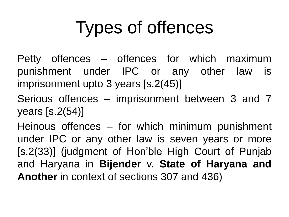# Types of offences

Petty offences – offences for which maximum punishment under IPC or any other law is imprisonment upto 3 years [s.2(45)]

Serious offences – imprisonment between 3 and 7 years [s.2(54)]

Heinous offences – for which minimum punishment under IPC or any other law is seven years or more [s.2(33)] (judgment of Hon'ble High Court of Punjab and Haryana in **Bijender** v. **State of Haryana and Another** in context of sections 307 and 436)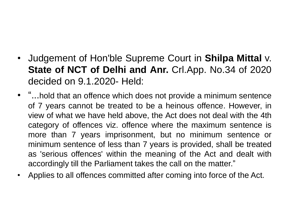- Judgement of Hon'ble Supreme Court in **Shilpa Mittal** v. **State of NCT of Delhi and Anr.** Crl.App. No.34 of 2020 decided on 9.1.2020- Held:
- "...hold that an offence which does not provide a minimum sentence of 7 years cannot be treated to be a heinous offence. However, in view of what we have held above, the Act does not deal with the 4th category of offences viz. offence where the maximum sentence is more than 7 years imprisonment, but no minimum sentence or minimum sentence of less than 7 years is provided, shall be treated as 'serious offences' within the meaning of the Act and dealt with accordingly till the Parliament takes the call on the matter."
- Applies to all offences committed after coming into force of the Act.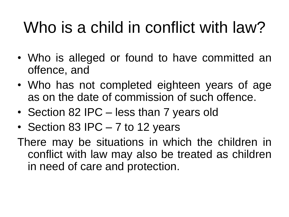## Who is a child in conflict with law?

- Who is alleged or found to have committed an offence, and
- Who has not completed eighteen years of age as on the date of commission of such offence.
- Section 82 IPC less than 7 years old
- Section 83 IPC 7 to 12 years

There may be situations in which the children in conflict with law may also be treated as children in need of care and protection.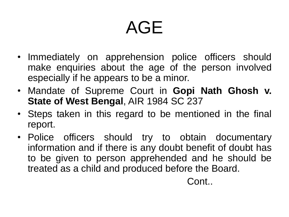# AGE

- Immediately on apprehension police officers should make enquiries about the age of the person involved especially if he appears to be a minor.
- Mandate of Supreme Court in **Gopi Nath Ghosh v. State of West Bengal**, AIR 1984 SC 237
- Steps taken in this regard to be mentioned in the final report.
- Police officers should try to obtain documentary information and if there is any doubt benefit of doubt has to be given to person apprehended and he should be treated as a child and produced before the Board.

Cont..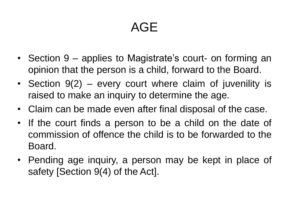### AGE

- Section 9 applies to Magistrate's court- on forming an opinion that the person is a child, forward to the Board.
- Section 9(2) every court where claim of juvenility is raised to make an inquiry to determine the age.
- Claim can be made even after final disposal of the case.
- If the court finds a person to be a child on the date of commission of offence the child is to be forwarded to the Board.
- Pending age inquiry, a person may be kept in place of safety [Section 9(4) of the Act].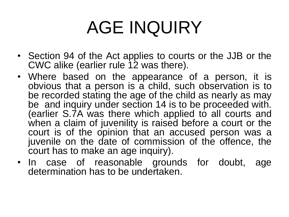# AGE INQUIRY

- Section 94 of the Act applies to courts or the JJB or the CWC alike (earlier rule 12 was there).
- Where based on the appearance of a person, it is obvious that a person is a child, such observation is to be recorded stating the age of the child as nearly as may be and inquiry under section 14 is to be proceeded with. (earlier S.7A was there which applied to all courts and when a claim of juvenility is raised before a court or the court is of the opinion that an accused person was a juvenile on the date of commission of the offence, the court has to make an age inquiry).
- In case of reasonable grounds for doubt, age determination has to be undertaken.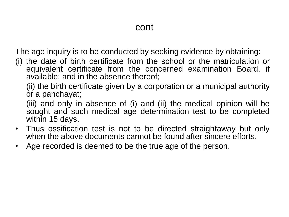The age inquiry is to be conducted by seeking evidence by obtaining:

(i) the date of birth certificate from the school or the matriculation or equivalent certificate from the concerned examination Board, if available; and in the absence thereof;

(ii) the birth certificate given by a corporation or a municipal authority or a panchayat;

(iii) and only in absence of (i) and (ii) the medical opinion will be sought and such medical age determination test to be completed within 15 days.

- Thus ossification test is not to be directed straightaway but only when the above documents cannot be found after sincere efforts.
- Age recorded is deemed to be the true age of the person.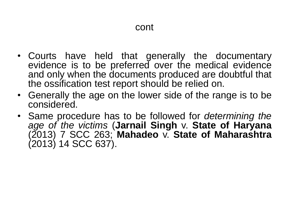- Courts have held that generally the documentary evidence is to be preferred over the medical evidence and only when the documents produced are doubtful that the ossification test report should be relied on.
- Generally the age on the lower side of the range is to be considered.
- Same procedure has to be followed for *determining the age of the victims* (**Jarnail Singh** v. **State of Haryana** (2013) 7 SCC 263; **Mahadeo** v. **State of Maharashtra** (2013) 14 SCC 637).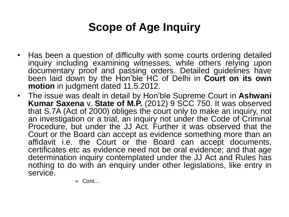### **Scope of Age Inquiry**

- Has been a question of difficulty with some courts ordering detailed inquiry including examining witnesses, while others relying upon documentary proof and passing orders. Detailed guidelines have been laid down by the Hon'ble HC of Delhi in **Court on its own motion** in judgment dated 11.5.2012.
- The issue was dealt in detail by Hon'ble Supreme Court in **Ashwani Kumar Saxena** v. **State of M.P.** (2012) 9 SCC 750. It was observed that S.7A (Act of 2000) obliges the court only to make an inquiry, not an investigation or a trial, an inquiry not under the Code of Criminal Procedure, but under the JJ Act. Further it was observed that the Court or the Board can accept as evidence something more than an affidavit i.e. the Court or the Board can accept documents, certificates etc as evidence need not be oral evidence; and that age determination inquiry contemplated under the JJ Act and Rules has nothing to do with an enquiry under other legislations, like entry in service.

» Cont…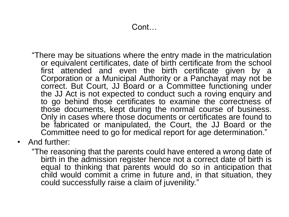- "There may be situations where the entry made in the matriculation or equivalent certificates, date of birth certificate from the school first attended and even the birth certificate given by a Corporation or a Municipal Authority or a Panchayat may not be correct. But Court, JJ Board or a Committee functioning under the JJ Act is not expected to conduct such a roving enquiry and to go behind those certificates to examine the correctness of those documents, kept during the normal course of business. Only in cases where those documents or certificates are found to be fabricated or manipulated, the Court, the JJ Board or the Committee need to go for medical report for age determination."
- And further:
	- "The reasoning that the parents could have entered a wrong date of birth in the admission register hence not a correct date of birth is equal to thinking that parents would do so in anticipation that child would commit a crime in future and, in that situation, they could successfully raise a claim of juvenility."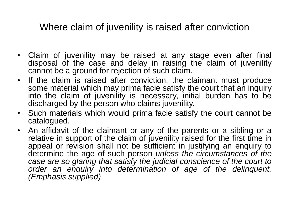Where claim of juvenility is raised after conviction

- Claim of juvenility may be raised at any stage even after final disposal of the case and delay in raising the claim of juvenility cannot be a ground for rejection of such claim.
- If the claim is raised after conviction, the claimant must produce some material which may prima facie satisfy the court that an inquiry into the claim of juvenility is necessary, initial burden has to be discharged by the person who claims juvenility.
- Such materials which would prima facie satisfy the court cannot be catalogued.
- An affidavit of the claimant or any of the parents or a sibling or a relative in support of the claim of juvenility raised for the first time in appeal or revision shall not be sufficient in justifying an enquiry to determine the age of such person *unless the circumstances of the case are so glaring that satisfy the judicial conscience of the court to order an enquiry into determination of age of the delinquent. (Emphasis supplied)*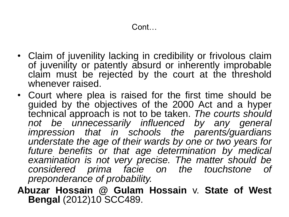- Claim of juvenility lacking in credibility or frivolous claim of juvenility or patently absurd or inherently improbable claim must be rejected by the court at the threshold whenever raised.
- Court where plea is raised for the first time should be guided by the objectives of the 2000 Act and a hyper technical approach is not to be taken. *The courts should not be unnecessarily influenced by any general impression that in schools the parents/guardians understate the age of their wards by one or two years for future benefits or that age determination by medical examination is not very precise. The matter should be considered prima facie on the touchstone of preponderance of probability.*
- **Abuzar Hossain @ Gulam Hossain** v. **State of West Bengal** (2012)10 SCC489.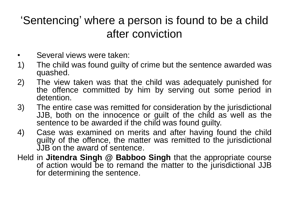### 'Sentencing' where a person is found to be a child after conviction

- Several views were taken:
- 1) The child was found guilty of crime but the sentence awarded was quashed.
- 2) The view taken was that the child was adequately punished for the offence committed by him by serving out some period in detention.
- 3) The entire case was remitted for consideration by the jurisdictional JJB, both on the innocence or guilt of the child as well as the sentence to be awarded if the child was found guilty.
- 4) Case was examined on merits and after having found the child guilty of the offence, the matter was remitted to the jurisdictional JJB on the award of sentence.
- Held in **Jitendra Singh @ Babboo Singh** that the appropriate course of action would be to remand the matter to the jurisdictional JJB for determining the sentence.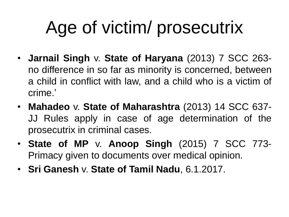# Age of victim/ prosecutrix

- **Jarnail Singh** v. **State of Haryana** (2013) 7 SCC 263 no difference in so far as minority is concerned, between a child in conflict with law, and a child who is a victim of crime.'
- **Mahadeo** v. **State of Maharashtra** (2013) 14 SCC 637- JJ Rules apply in case of age determination of the prosecutrix in criminal cases.
- **State of MP** v. **Anoop Singh** (2015) 7 SCC 773- Primacy given to documents over medical opinion.
- **Sri Ganesh** v. **State of Tamil Nadu**, 6.1.2017.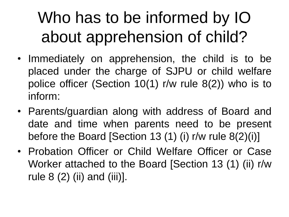## Who has to be informed by IO about apprehension of child?

- Immediately on apprehension, the child is to be placed under the charge of SJPU or child welfare police officer (Section 10(1) r/w rule 8(2)) who is to inform:
- Parents/guardian along with address of Board and date and time when parents need to be present before the Board [Section 13 (1) (i) r/w rule 8(2)(i)]
- Probation Officer or Child Welfare Officer or Case Worker attached to the Board [Section 13 (1) (ii) r/w rule  $8(2)$  (ii) and (iii)].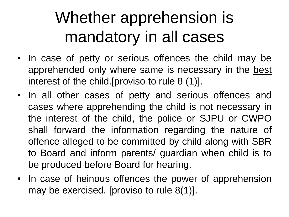### Whether apprehension is mandatory in all cases

- In case of petty or serious offences the child may be apprehended only where same is necessary in the best interest of the child. [proviso to rule 8 (1)].
- In all other cases of petty and serious offences and cases where apprehending the child is not necessary in the interest of the child, the police or SJPU or CWPO shall forward the information regarding the nature of offence alleged to be committed by child along with SBR to Board and inform parents/ guardian when child is to be produced before Board for hearing.
- In case of heinous offences the power of apprehension may be exercised. [proviso to rule 8(1)].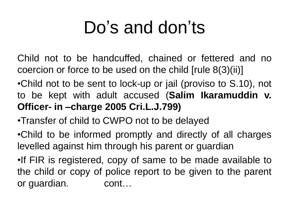## Do's and don'ts

Child not to be handcuffed, chained or fettered and no coercion or force to be used on the child [rule 8(3)(ii)]

- •Child not to be sent to lock-up or jail (proviso to S.10), not to be kept with adult accused (**Salim Ikaramuddin v. Officer- in –charge 2005 Cri.L.J.799)**
- •Transfer of child to CWPO not to be delayed
- •Child to be informed promptly and directly of all charges levelled against him through his parent or guardian
- •If FIR is registered, copy of same to be made available to the child or copy of police report to be given to the parent or guardian. cont…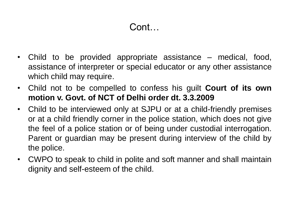#### Cont…

- Child to be provided appropriate assistance medical, food, assistance of interpreter or special educator or any other assistance which child may require.
- Child not to be compelled to confess his guilt **Court of its own motion v. Govt. of NCT of Delhi order dt. 3.3.2009**
- Child to be interviewed only at SJPU or at a child-friendly premises or at a child friendly corner in the police station, which does not give the feel of a police station or of being under custodial interrogation. Parent or guardian may be present during interview of the child by the police.
- CWPO to speak to child in polite and soft manner and shall maintain dignity and self-esteem of the child.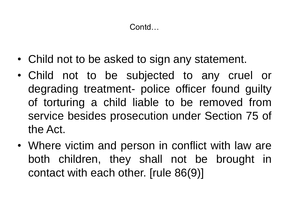Contd…

- Child not to be asked to sign any statement.
- Child not to be subjected to any cruel or degrading treatment- police officer found guilty of torturing a child liable to be removed from service besides prosecution under Section 75 of the Act.
- Where victim and person in conflict with law are both children, they shall not be brought in contact with each other. [rule 86(9)]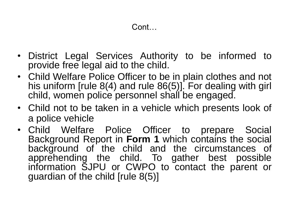- District Legal Services Authority to be informed to provide free legal aid to the child.
- Child Welfare Police Officer to be in plain clothes and not his uniform [rule 8(4) and rule 86(5)]. For dealing with girl child, women police personnel shall be engaged.
- Child not to be taken in a vehicle which presents look of a police vehicle
- Child Welfare Police Officer to prepare Social Background Report in **Form 1** which contains the social background of the child and the circumstances of apprehending the child. To gather best possible information SJPU or CWPO to contact the parent or guardian of the child [rule 8(5)]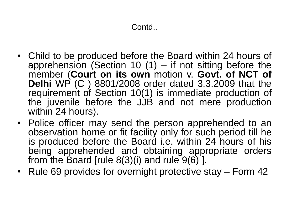- Child to be produced before the Board within 24 hours of apprehension (Section 10  $(1)$  – if not sitting before the member (**Court on its own** motion v. **Govt. of NCT of Delhi** WP (C ) 8801/2008 order dated 3.3.2009 that the requirement of Section 10(1) is immediate production of the juvenile before the JJB and not mere production within 24 hours).
- Police officer may send the person apprehended to an observation home or fit facility only for such period till he is produced before the Board i.e. within 24 hours of his being apprehended and obtaining appropriate orders from the Board [rule  $8(3)(i)$  and rule  $9(6)$ ].
- Rule 69 provides for overnight protective stay Form 42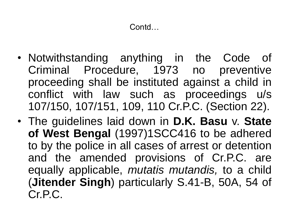- Notwithstanding anything in the Code of Criminal Procedure, 1973 no preventive proceeding shall be instituted against a child in conflict with law such as proceedings u/s 107/150, 107/151, 109, 110 Cr.P.C. (Section 22).
- The guidelines laid down in **D.K. Basu** v. **State of West Bengal** (1997)1SCC416 to be adhered to by the police in all cases of arrest or detention and the amended provisions of Cr.P.C. are equally applicable, *mutatis mutandis,* to a child (**Jitender Singh**) particularly S.41-B, 50A, 54 of Cr.P.C.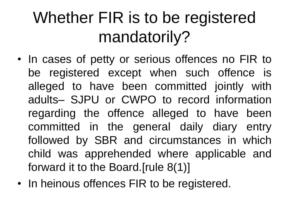### Whether FIR is to be registered mandatorily?

- In cases of petty or serious offences no FIR to be registered except when such offence is alleged to have been committed jointly with adults– SJPU or CWPO to record information regarding the offence alleged to have been committed in the general daily diary entry followed by SBR and circumstances in which child was apprehended where applicable and forward it to the Board.[rule 8(1)]
- In heinous offences FIR to be registered.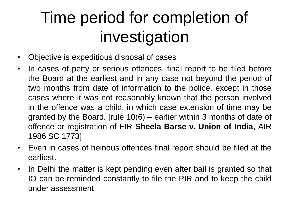### Time period for completion of investigation

- Objective is expeditious disposal of cases
- In cases of petty or serious offences, final report to be filed before the Board at the earliest and in any case not beyond the period of two months from date of information to the police, except in those cases where it was not reasonably known that the person involved in the offence was a child, in which case extension of time may be granted by the Board. [rule 10(6) – earlier within 3 months of date of offence or registration of FIR **Sheela Barse v. Union of India**, AIR 1986 SC 1773]
- Even in cases of heinous offences final report should be filed at the earliest.
- In Delhi the matter is kept pending even after bail is granted so that IO can be reminded constantly to file the PIR and to keep the child under assessment.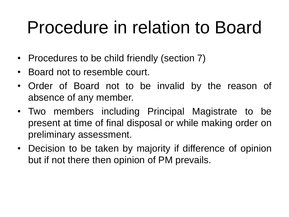### Procedure in relation to Board

- Procedures to be child friendly (section 7)
- Board not to resemble court.
- Order of Board not to be invalid by the reason of absence of any member.
- Two members including Principal Magistrate to be present at time of final disposal or while making order on preliminary assessment.
- Decision to be taken by majority if difference of opinion but if not there then opinion of PM prevails.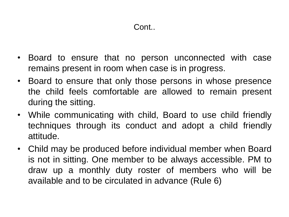- Board to ensure that no person unconnected with case remains present in room when case is in progress.
- Board to ensure that only those persons in whose presence the child feels comfortable are allowed to remain present during the sitting.
- While communicating with child, Board to use child friendly techniques through its conduct and adopt a child friendly attitude.
- Child may be produced before individual member when Board is not in sitting. One member to be always accessible. PM to draw up a monthly duty roster of members who will be available and to be circulated in advance (Rule 6)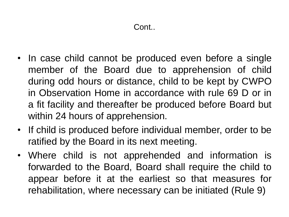- In case child cannot be produced even before a single member of the Board due to apprehension of child during odd hours or distance, child to be kept by CWPO in Observation Home in accordance with rule 69 D or in a fit facility and thereafter be produced before Board but within 24 hours of apprehension.
- If child is produced before individual member, order to be ratified by the Board in its next meeting.
- Where child is not apprehended and information is forwarded to the Board, Board shall require the child to appear before it at the earliest so that measures for rehabilitation, where necessary can be initiated (Rule 9)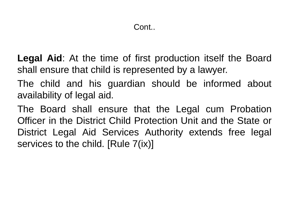**Legal Aid**: At the time of first production itself the Board shall ensure that child is represented by a lawyer.

The child and his guardian should be informed about availability of legal aid.

The Board shall ensure that the Legal cum Probation Officer in the District Child Protection Unit and the State or District Legal Aid Services Authority extends free legal services to the child. [Rule 7(ix)]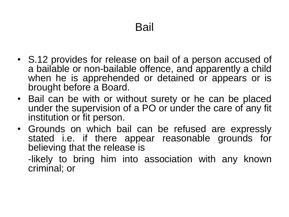- S.12 provides for release on bail of a person accused of a bailable or non-bailable offence, and apparently a child when he is apprehended or detained or appears or is brought before a Board.
- Bail can be with or without surety or he can be placed under the supervision of a PO or under the care of any fit institution or fit person.
- Grounds on which bail can be refused are expressly stated i.e. if there appear reasonable grounds for believing that the release is

-likely to bring him into association with any known criminal; or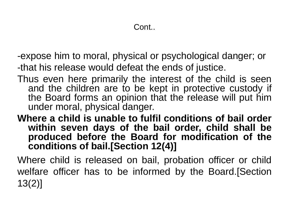-expose him to moral, physical or psychological danger; or -that his release would defeat the ends of justice.

Thus even here primarily the interest of the child is seen and the children are to be kept in protective custody if the Board forms an opinion that the release will put him under moral, physical danger.

**Where a child is unable to fulfil conditions of bail order within seven days of the bail order, child shall be produced before the Board for modification of the conditions of bail.[Section 12(4)]**

Where child is released on bail, probation officer or child welfare officer has to be informed by the Board.[Section 13(2)]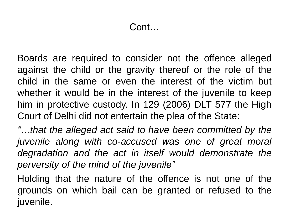Boards are required to consider not the offence alleged against the child or the gravity thereof or the role of the child in the same or even the interest of the victim but whether it would be in the interest of the juvenile to keep him in protective custody. In 129 (2006) DLT 577 the High Court of Delhi did not entertain the plea of the State:

*"…that the alleged act said to have been committed by the juvenile along with co-accused was one of great moral degradation and the act in itself would demonstrate the perversity of the mind of the juvenile"*

Holding that the nature of the offence is not one of the grounds on which bail can be granted or refused to the juvenile.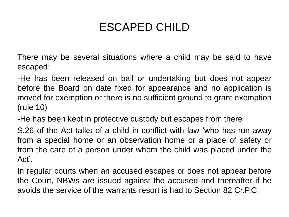### ESCAPED CHILD

There may be several situations where a child may be said to have escaped:

-He has been released on bail or undertaking but does not appear before the Board on date fixed for appearance and no application is moved for exemption or there is no sufficient ground to grant exemption (rule 10)

-He has been kept in protective custody but escapes from there

S.26 of the Act talks of a child in conflict with law 'who has run away from a special home or an observation home or a place of safety or from the care of a person under whom the child was placed under the Act'.

In regular courts when an accused escapes or does not appear before the Court, NBWs are issued against the accused and thereafter if he avoids the service of the warrants resort is had to Section 82 Cr.P.C.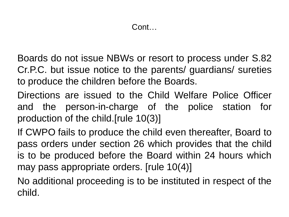Boards do not issue NBWs or resort to process under S.82 Cr.P.C. but issue notice to the parents/ guardians/ sureties to produce the children before the Boards.

Directions are issued to the Child Welfare Police Officer and the person-in-charge of the police station for production of the child.[rule 10(3)]

If CWPO fails to produce the child even thereafter, Board to pass orders under section 26 which provides that the child is to be produced before the Board within 24 hours which may pass appropriate orders. [rule 10(4)]

No additional proceeding is to be instituted in respect of the child.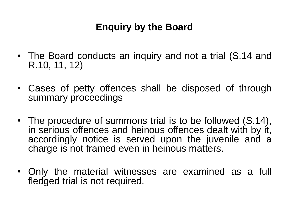#### **Enquiry by the Board**

- The Board conducts an inquiry and not a trial (S.14 and R.10, 11, 12)
- Cases of petty offences shall be disposed of through summary proceedings
- The procedure of summons trial is to be followed (S.14), in serious offences and heinous offences dealt with by it, accordingly notice is served upon the juvenile and a charge is not framed even in heinous matters.
- Only the material witnesses are examined as a full fledged trial is not required.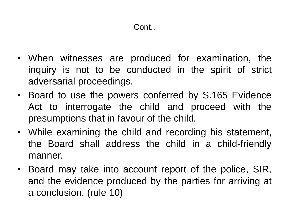- When witnesses are produced for examination, the inquiry is not to be conducted in the spirit of strict adversarial proceedings.
- Board to use the powers conferred by S.165 Evidence Act to interrogate the child and proceed with the presumptions that in favour of the child.
- While examining the child and recording his statement, the Board shall address the child in a child-friendly manner.
- Board may take into account report of the police, SIR, and the evidence produced by the parties for arriving at a conclusion. (rule 10)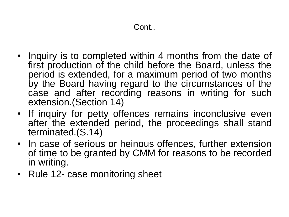- Inquiry is to completed within 4 months from the date of first production of the child before the Board, unless the period is extended, for a maximum period of two months by the Board having regard to the circumstances of the case and after recording reasons in writing for such extension.(Section 14)
- If inquiry for petty offences remains inconclusive even after the extended period, the proceedings shall stand terminated.(S.14)
- In case of serious or heinous offences, further extension of time to be granted by CMM for reasons to be recorded in writing.
- Rule 12- case monitoring sheet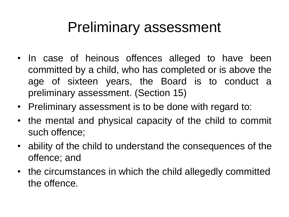### Preliminary assessment

- In case of heinous offences alleged to have been committed by a child, who has completed or is above the age of sixteen years, the Board is to conduct a preliminary assessment. (Section 15)
- Preliminary assessment is to be done with regard to:
- the mental and physical capacity of the child to commit such offence;
- ability of the child to understand the consequences of the offence; and
- the circumstances in which the child allegedly committed the offence.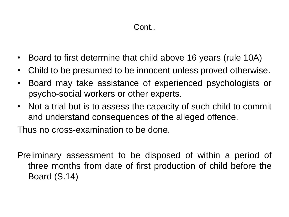#### Cont..

- Board to first determine that child above 16 years (rule 10A)
- Child to be presumed to be innocent unless proved otherwise.
- Board may take assistance of experienced psychologists or psycho-social workers or other experts.
- Not a trial but is to assess the capacity of such child to commit and understand consequences of the alleged offence.

Thus no cross-examination to be done.

Preliminary assessment to be disposed of within a period of three months from date of first production of child before the Board (S.14)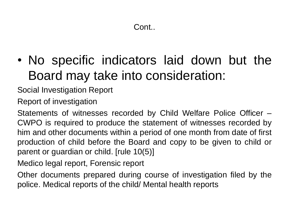• No specific indicators laid down but the Board may take into consideration:

Social Investigation Report

Report of investigation

Statements of witnesses recorded by Child Welfare Police Officer – CWPO is required to produce the statement of witnesses recorded by him and other documents within a period of one month from date of first production of child before the Board and copy to be given to child or parent or guardian or child. [rule 10(5)]

Medico legal report, Forensic report

Other documents prepared during course of investigation filed by the police. Medical reports of the child/ Mental health reports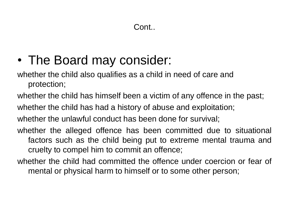- The Board may consider:
- whether the child also qualifies as a child in need of care and protection;
- whether the child has himself been a victim of any offence in the past;
- whether the child has had a history of abuse and exploitation;
- whether the unlawful conduct has been done for survival;
- whether the alleged offence has been committed due to situational factors such as the child being put to extreme mental trauma and cruelty to compel him to commit an offence;
- whether the child had committed the offence under coercion or fear of mental or physical harm to himself or to some other person;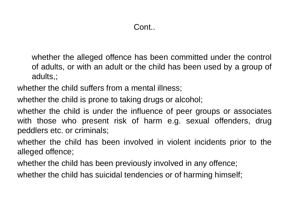whether the alleged offence has been committed under the control of adults, or with an adult or the child has been used by a group of adults,;

whether the child suffers from a mental illness;

whether the child is prone to taking drugs or alcohol;

whether the child is under the influence of peer groups or associates with those who present risk of harm e.g. sexual offenders, drug peddlers etc. or criminals;

whether the child has been involved in violent incidents prior to the alleged offence;

whether the child has been previously involved in any offence;

whether the child has suicidal tendencies or of harming himself;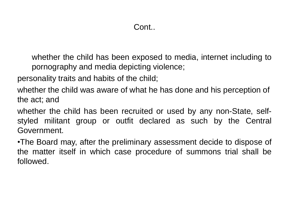whether the child has been exposed to media, internet including to pornography and media depicting violence;

personality traits and habits of the child;

whether the child was aware of what he has done and his perception of the act; and

whether the child has been recruited or used by any non-State, selfstyled militant group or outfit declared as such by the Central Government.

•The Board may, after the preliminary assessment decide to dispose of the matter itself in which case procedure of summons trial shall be followed.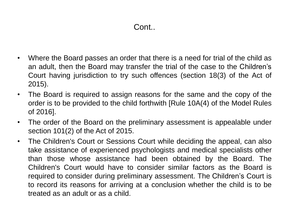- Where the Board passes an order that there is a need for trial of the child as an adult, then the Board may transfer the trial of the case to the Children's Court having jurisdiction to try such offences (section 18(3) of the Act of 2015).
- The Board is required to assign reasons for the same and the copy of the order is to be provided to the child forthwith [Rule 10A(4) of the Model Rules of 2016].
- The order of the Board on the preliminary assessment is appealable under section 101(2) of the Act of 2015.
- The Children's Court or Sessions Court while deciding the appeal, can also take assistance of experienced psychologists and medical specialists other than those whose assistance had been obtained by the Board. The Children's Court would have to consider similar factors as the Board is required to consider during preliminary assessment. The Children's Court is to record its reasons for arriving at a conclusion whether the child is to be treated as an adult or as a child.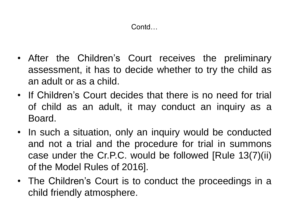- After the Children's Court receives the preliminary assessment, it has to decide whether to try the child as an adult or as a child.
- If Children's Court decides that there is no need for trial of child as an adult, it may conduct an inquiry as a Board.
- In such a situation, only an inquiry would be conducted and not a trial and the procedure for trial in summons case under the Cr.P.C. would be followed [Rule 13(7)(ii) of the Model Rules of 2016].
- The Children's Court is to conduct the proceedings in a child friendly atmosphere.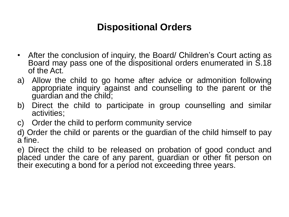#### **Dispositional Orders**

- After the conclusion of inquiry, the Board/ Children's Court acting as Board may pass one of the dispositional orders enumerated in S.18 of the Act.
- a) Allow the child to go home after advice or admonition following appropriate inquiry against and counselling to the parent or the guardian and the child;
- b) Direct the child to participate in group counselling and similar activities;
- c) Order the child to perform community service
- d) Order the child or parents or the guardian of the child himself to pay a fine.

e) Direct the child to be released on probation of good conduct and placed under the care of any parent, guardian or other fit person on their executing a bond for a period not exceeding three years.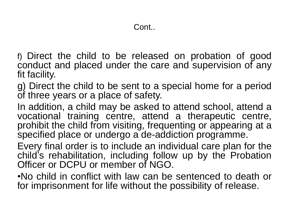- f) Direct the child to be released on probation of good conduct and placed under the care and supervision of any fit facility.
- g) Direct the child to be sent to a special home for a period of three years or a place of safety.
- In addition, a child may be asked to attend school, attend a vocational training centre, attend a therapeutic centre, prohibit the child from visiting, frequenting or appearing at a specified place or undergo a de-addiction programme.
- Every final order is to include an individual care plan for the child's rehabilitation, including follow up by the Probation Officer or DCPU or member of NGO.
- •No child in conflict with law can be sentenced to death or for imprisonment for life without the possibility of release.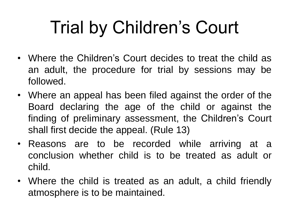# Trial by Children's Court

- Where the Children's Court decides to treat the child as an adult, the procedure for trial by sessions may be followed.
- Where an appeal has been filed against the order of the Board declaring the age of the child or against the finding of preliminary assessment, the Children's Court shall first decide the appeal. (Rule 13)
- Reasons are to be recorded while arriving at a conclusion whether child is to be treated as adult or child.
- Where the child is treated as an adult, a child friendly atmosphere is to be maintained.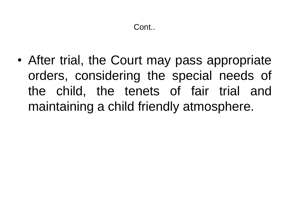• After trial, the Court may pass appropriate orders, considering the special needs of the child, the tenets of fair trial and maintaining a child friendly atmosphere.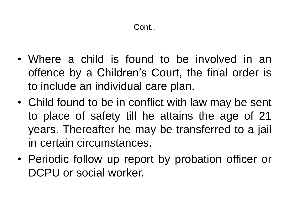- Where a child is found to be involved in an offence by a Children's Court, the final order is to include an individual care plan.
- Child found to be in conflict with law may be sent to place of safety till he attains the age of 21 years. Thereafter he may be transferred to a jail in certain circumstances.
- Periodic follow up report by probation officer or DCPU or social worker.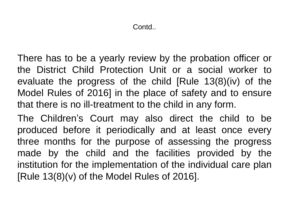There has to be a yearly review by the probation officer or the District Child Protection Unit or a social worker to evaluate the progress of the child [Rule 13(8)(iv) of the Model Rules of 2016] in the place of safety and to ensure that there is no ill-treatment to the child in any form.

The Children's Court may also direct the child to be produced before it periodically and at least once every three months for the purpose of assessing the progress made by the child and the facilities provided by the institution for the implementation of the individual care plan [Rule  $13(8)(v)$  of the Model Rules of 2016].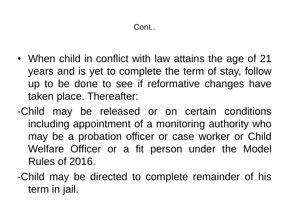- When child in conflict with law attains the age of 21 years and is yet to complete the term of stay, follow up to be done to see if reformative changes have taken place. Thereafter:
- -Child may be released or on certain conditions including appointment of a monitoring authority who may be a probation officer or case worker or Child Welfare Officer or a fit person under the Model Rules of 2016.
- -Child may be directed to complete remainder of his term in jail.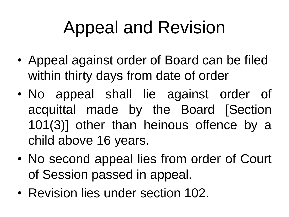## Appeal and Revision

- Appeal against order of Board can be filed within thirty days from date of order
- No appeal shall lie against order of acquittal made by the Board [Section 101(3)] other than heinous offence by a child above 16 years.
- No second appeal lies from order of Court of Session passed in appeal.
- Revision lies under section 102.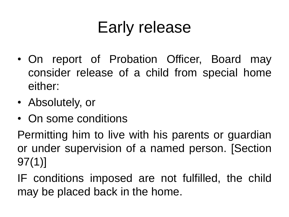### Early release

- On report of Probation Officer, Board may consider release of a child from special home either:
- Absolutely, or
- On some conditions

Permitting him to live with his parents or guardian or under supervision of a named person. [Section 97(1)]

IF conditions imposed are not fulfilled, the child may be placed back in the home.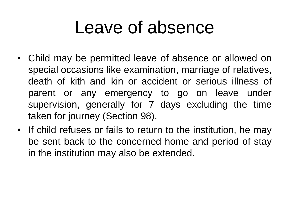### Leave of absence

- Child may be permitted leave of absence or allowed on special occasions like examination, marriage of relatives, death of kith and kin or accident or serious illness of parent or any emergency to go on leave under supervision, generally for 7 days excluding the time taken for journey (Section 98).
- If child refuses or fails to return to the institution, he may be sent back to the concerned home and period of stay in the institution may also be extended.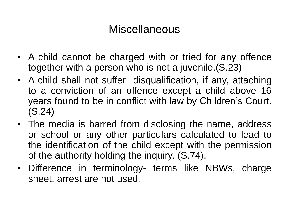### Miscellaneous

- A child cannot be charged with or tried for any offence together with a person who is not a juvenile.(S.23)
- A child shall not suffer disqualification, if any, attaching to a conviction of an offence except a child above 16 years found to be in conflict with law by Children's Court. (S.24)
- The media is barred from disclosing the name, address or school or any other particulars calculated to lead to the identification of the child except with the permission of the authority holding the inquiry. (S.74).
- Difference in terminology- terms like NBWs, charge sheet, arrest are not used.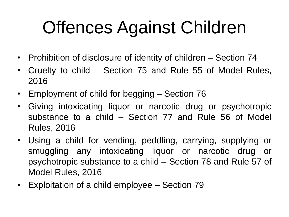## Offences Against Children

- Prohibition of disclosure of identity of children Section 74
- Cruelty to child Section 75 and Rule 55 of Model Rules, 2016
- Employment of child for begging Section 76
- Giving intoxicating liquor or narcotic drug or psychotropic substance to a child – Section 77 and Rule 56 of Model Rules, 2016
- Using a child for vending, peddling, carrying, supplying or smuggling any intoxicating liquor or narcotic drug or psychotropic substance to a child – Section 78 and Rule 57 of Model Rules, 2016
- Exploitation of a child employee Section 79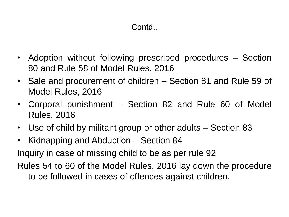### Contd..

- Adoption without following prescribed procedures Section 80 and Rule 58 of Model Rules, 2016
- Sale and procurement of children Section 81 and Rule 59 of Model Rules, 2016
- Corporal punishment Section 82 and Rule 60 of Model Rules, 2016
- Use of child by militant group or other adults Section 83
- Kidnapping and Abduction Section 84

Inquiry in case of missing child to be as per rule 92

Rules 54 to 60 of the Model Rules, 2016 lay down the procedure to be followed in cases of offences against children.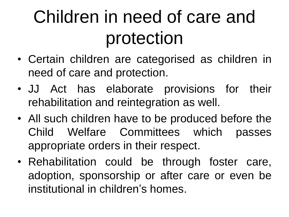## Children in need of care and protection

- Certain children are categorised as children in need of care and protection.
- JJ Act has elaborate provisions for their rehabilitation and reintegration as well.
- All such children have to be produced before the Child Welfare Committees which passes appropriate orders in their respect.
- Rehabilitation could be through foster care, adoption, sponsorship or after care or even be institutional in children's homes.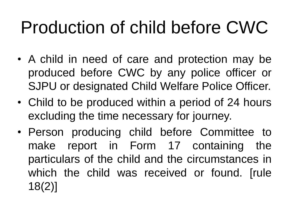## Production of child before CWC

- A child in need of care and protection may be produced before CWC by any police officer or SJPU or designated Child Welfare Police Officer.
- Child to be produced within a period of 24 hours excluding the time necessary for journey.
- Person producing child before Committee to make report in Form 17 containing the particulars of the child and the circumstances in which the child was received or found. [rule 18(2)]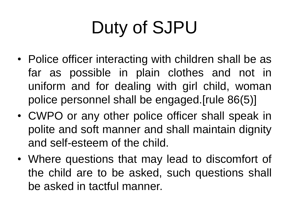## Duty of SJPU

- Police officer interacting with children shall be as far as possible in plain clothes and not in uniform and for dealing with girl child, woman police personnel shall be engaged.[rule 86(5)]
- CWPO or any other police officer shall speak in polite and soft manner and shall maintain dignity and self-esteem of the child.
- Where questions that may lead to discomfort of the child are to be asked, such questions shall be asked in tactful manner.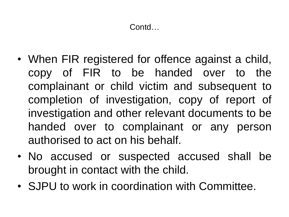- When FIR registered for offence against a child, copy of FIR to be handed over to the complainant or child victim and subsequent to completion of investigation, copy of report of investigation and other relevant documents to be handed over to complainant or any person authorised to act on his behalf.
- No accused or suspected accused shall be brought in contact with the child.
- SJPU to work in coordination with Committee.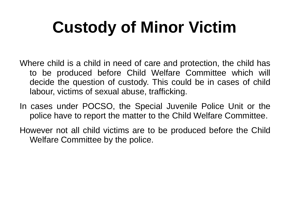## **Custody of Minor Victim**

- Where child is a child in need of care and protection, the child has to be produced before Child Welfare Committee which will decide the question of custody. This could be in cases of child labour, victims of sexual abuse, trafficking.
- In cases under POCSO, the Special Juvenile Police Unit or the police have to report the matter to the Child Welfare Committee.
- However not all child victims are to be produced before the Child Welfare Committee by the police.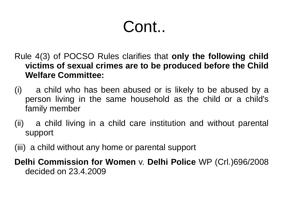### Cont..

- Rule 4(3) of POCSO Rules clarifies that **only the following child victims of sexual crimes are to be produced before the Child Welfare Committee:**
- (i) a child who has been abused or is likely to be abused by a person living in the same household as the child or a child's family member
- (ii) a child living in a child care institution and without parental support
- (iii) a child without any home or parental support

**Delhi Commission for Women** v. **Delhi Police** WP (Crl.)696/2008 decided on 23.4.2009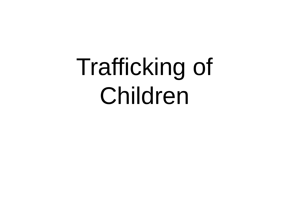# Trafficking of Children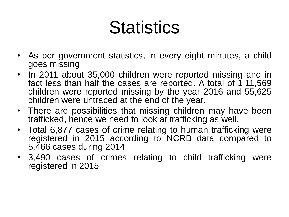## **Statistics**

- As per government statistics, in every eight minutes, a child goes missing
- In 2011 about 35,000 children were reported missing and in fact less than half the cases are reported. A total of  $1,11,569$ children were reported missing by the year 2016 and 55,625 children were untraced at the end of the year.
- There are possibilities that missing children may have been trafficked, hence we need to look at trafficking as well.
- Total 6,877 cases of crime relating to human trafficking were registered in 2015 according to NCRB data compared to 5,466 cases during 2014
- 3,490 cases of crimes relating to child trafficking were registered in 2015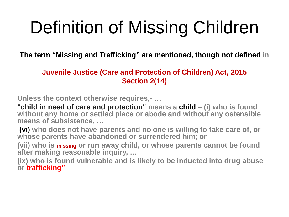## Definition of Missing Children

**The term "Missing and Trafficking" are mentioned, though not defined in**

### **Juvenile Justice (Care and Protection of Children) Act, 2015 Section 2(14)**

**Unless the context otherwise requires,- …**

**"child in need of care and protection" means a child – (i) who is found without any home or settled place or abode and without any ostensible means of subsistence, …**

**(vi) who does not have parents and no one is willing to take care of, or whose parents have abandoned or surrendered him; or** 

**(vii) who is missing or run away child, or whose parents cannot be found after making reasonable inquiry, …**

**(ix) who is found vulnerable and is likely to be inducted into drug abuse or trafficking"**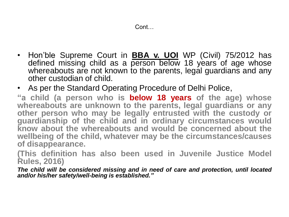- Hon'ble Supreme Court in **BBA v. UOI** WP (Civil) 75/2012 has defined missing child as a person below 18 years of age whose whereabouts are not known to the parents, legal guardians and any other custodian of child.
- As per the Standard Operating Procedure of Delhi Police,

**"a child (a person who is below 18 years of the age) whose whereabouts are unknown to the parents, legal guardians or any other person who may be legally entrusted with the custody or guardianship of the child and in ordinary circumstances would know about the whereabouts and would be concerned about the wellbeing of the child, whatever may be the circumstances/causes of disappearance.**

**(This definition has also been used in Juvenile Justice Model Rules, 2016)**

*The child will be considered missing and in need of care and protection, until located and/or his/her safety/well-being is established."*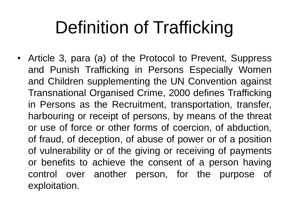## Definition of Trafficking

• Article 3, para (a) of the Protocol to Prevent, Suppress and Punish Trafficking in Persons Especially Women and Children supplementing the UN Convention against Transnational Organised Crime, 2000 defines Trafficking in Persons as the Recruitment, transportation, transfer, harbouring or receipt of persons, by means of the threat or use of force or other forms of coercion, of abduction, of fraud, of deception, of abuse of power or of a position of vulnerability or of the giving or receiving of payments or benefits to achieve the consent of a person having control over another person, for the purpose of exploitation.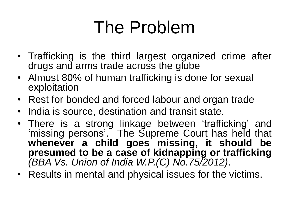## The Problem

- Trafficking is the third largest organized crime after drugs and arms trade across the globe
- Almost 80% of human trafficking is done for sexual exploitation
- Rest for bonded and forced labour and organ trade
- India is source, destination and transit state.
- There is a strong linkage between 'trafficking' and 'missing persons'. The Supreme Court has held that **whenever a child goes missing, it should be presumed to be a case of kidnapping or trafficking** *(BBA Vs. Union of India W.P.(C) No.75/2012)*.
- Results in mental and physical issues for the victims.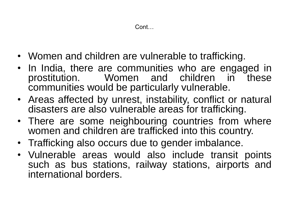- Women and children are vulnerable to trafficking.
- In India, there are communities who are engaged in prostitution. Women and children in these communities would be particularly vulnerable.
- Areas affected by unrest, instability, conflict or natural disasters are also vulnerable areas for trafficking.
- There are some neighbouring countries from where women and children are trafficked into this country.
- Trafficking also occurs due to gender imbalance.
- Vulnerable areas would also include transit points such as bus stations, railway stations, airports and international borders.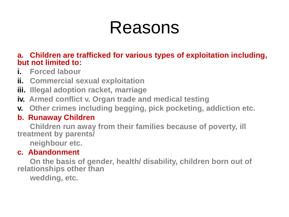### Reasons

### **a. Children are trafficked for various types of exploitation including, but not limited to:**

- **i. Forced labour**
- **ii. Commercial sexual exploitation**
- **iii. Illegal adoption racket, marriage**
- **iv. Armed conflict v. Organ trade and medical testing**
- **v. Other crimes including begging, pick pocketing, addiction etc.**

### **b. Runaway Children**

**Children run away from their families because of poverty, ill treatment by parents/** 

**neighbour etc.**

### **c. Abandonment**

**On the basis of gender, health/ disability, children born out of relationships other than** 

**wedding, etc.**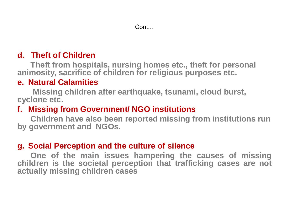#### Cont…

### **d. Theft of Children**

**Theft from hospitals, nursing homes etc., theft for personal animosity, sacrifice of children for religious purposes etc.**

### **e. Natural Calamities**

**Missing children after earthquake, tsunami, cloud burst, cyclone etc.**

### **f. Missing from Government/ NGO institutions**

**Children have also been reported missing from institutions run by government and NGOs.**

### **g. Social Perception and the culture of silence**

**One of the main issues hampering the causes of missing children is the societal perception that trafficking cases are not actually missing children cases**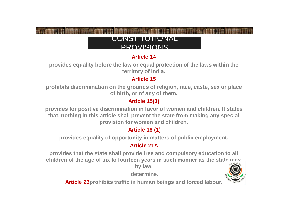#### CONSTITUTIONAL PROVISIONS

#### **Article 14**

**provides equality before the law or equal protection of the laws within the territory of India.** 

#### **Article 15**

**prohibits discrimination on the grounds of religion, race, caste, sex or place of birth, or of any of them.**

#### **Article 15(3)**

**provides for positive discrimination in favor of women and children. It states that, nothing in this article shall prevent the state from making any special provision for women and children.**

#### **Article 16 (1)**

**provides equality of opportunity in matters of public employment.** 

#### **Article 21A**

**provides that the state shall provide free and compulsory education to all children of the age of six to fourteen years in such manner as the state may,** 

**by law,**

**determine.**



**Article 23prohibits traffic in human beings and forced labour.**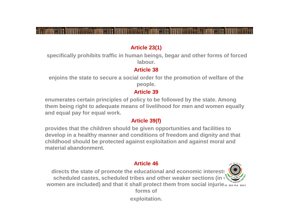#### **Article 23(1)**

**specifically prohibits traffic in human beings, begar and other forms of forced labour.** 

#### **Article 38**

**enjoins the state to secure a social order for the promotion of welfare of the people.**

#### **Article 39**

**enumerates certain principles of policy to be followed by the state. Among them being right to adequate means of livelihood for men and women equally and equal pay for equal work.**

#### **Article 39(f)**

**provides that the children should be given opportunities and facilities to develop in a healthy manner and conditions of freedom and dignity and that childhood should be protected against exploitation and against moral and material abandonment.**

#### **Article 46**

directs the state of promote the educational and economic interests **scheduled castes, scheduled tribes and other weaker sections (in \) women are included) and that it shall protect them from social injuries and all forms of** 

**exploitation.**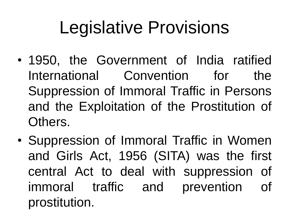## Legislative Provisions

- 1950, the Government of India ratified International Convention for the Suppression of Immoral Traffic in Persons and the Exploitation of the Prostitution of Others.
- Suppression of Immoral Traffic in Women and Girls Act, 1956 (SITA) was the first central Act to deal with suppression of immoral traffic and prevention of prostitution.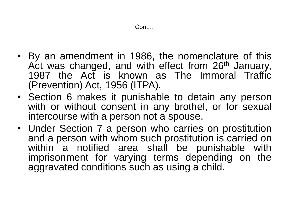- By an amendment in 1986, the nomenclature of this Act was changed, and with effect from 26<sup>th</sup> January, 1987 the Act is known as The Immoral Traffic (Prevention) Act, 1956 (ITPA).
- Section 6 makes it punishable to detain any person with or without consent in any brothel, or for sexual intercourse with a person not a spouse.
- Under Section 7 a person who carries on prostitution and a person with whom such prostitution is carried on within a notified area shall be punishable with imprisonment for varying terms depending on the aggravated conditions such as using a child.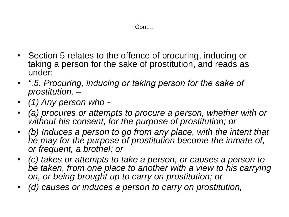- Section 5 relates to the offence of procuring, inducing or taking a person for the sake of prostitution, and reads as under:
- *".5. Procuring, inducing or taking person for the sake of prostitution. –*
- *(1) Any person who -*
- *(a) procures or attempts to procure a person, whether with or without his consent, for the purpose of prostitution; or*
- *(b) Induces a person to go from any place, with the intent that he may for the purpose of prostitution become the inmate of, or frequent, a brothel; or*
- *(c) takes or attempts to take a person, or causes a person to*  be taken, from one place to another with a view to his carrying *on, or being brought up to carry on prostitution; or*
- *(d) causes or induces a person to carry on prostitution,*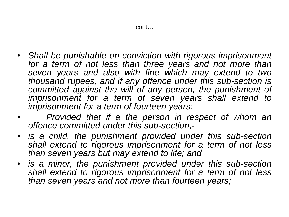- *Shall be punishable on conviction with rigorous imprisonment for a term of not less than three years and not more than seven years and also with fine which may extend to two thousand rupees, and if any offence under this sub-section is committed against the will of any person, the punishment of imprisonment for a term of seven years shall extend to imprisonment for a term of fourteen years:*
- *Provided that if a the person in respect of whom an offence committed under this sub-section,-*
- *is a child, the punishment provided under this sub-section shall extend to rigorous imprisonment for a term of not less than seven years but may extend to life; and*
- *is a minor, the punishment provided under this sub-section shall extend to rigorous imprisonment for a term of not less than seven years and not more than fourteen years;*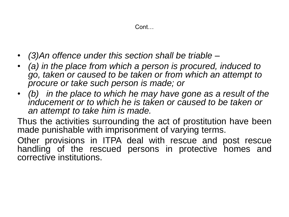Cont…

- *(3)An offence under this section shall be triable –*
- *(a) in the place from which a person is procured, induced to go, taken or caused to be taken or from which an attempt to procure or take such person is made; or*
- *(b) in the place to which he may have gone as a result of the*  inducement or to which he is taken or caused to be taken or *an attempt to take him is made.*

Thus the activities surrounding the act of prostitution have been made punishable with imprisonment of varying terms.

Other provisions in ITPA deal with rescue and post rescue handling of the rescued persons in protective homes and corrective institutions.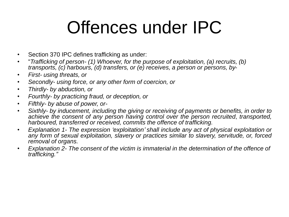## Offences under IPC

- Section 370 IPC defines trafficking as under:
- "*Trafficking of person- (1) Whoever, for the purpose of exploitation, (a) recruits, (b) transports, (c) harbours, (d) transfers, or (e) receives, a person or persons, by-*
- *First- using threats, or*
- *Secondly- using force, or any other form of coercion, or*
- *Thirdly- by abduction, or*
- *Fourthly- by practicing fraud, or deception, or*
- *Fifthly- by abuse of power, or-*
- *Sixthly- by inducement, including the giving or receiving of payments or benefits, in order to achieve the consent of any person having control over the person recruited*, *transported, harboured, transferred or received, commits the offence of trafficking.*
- *Explanation 1- The expression 'exploitation' shall include any act of physical exploitation or any form of sexual exploitation, slavery or practices similar to slavery, servitude, or, forced removal of organs.*
- *Explanation 2- The consent of the victim is immaterial in the determination of the offence of trafficking."*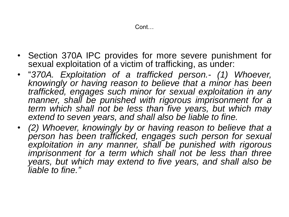- Section 370A IPC provides for more severe punishment for sexual exploitation of a victim of trafficking, as under:
- "*370A. Exploitation of a trafficked person.- (1) Whoever, knowingly or having reason to believe that a minor has been trafficked, engages such minor for sexual exploitation in any manner, shall be punished with rigorous imprisonment for a term which shall not be less than five years, but which may extend to seven years, and shall also be liable to fine.*
- *(2) Whoever, knowingly by or having reason to believe that a person has been trafficked, engages such person for sexual exploitation in any manner, shall be punished with rigorous imprisonment for a term which shall not be less than three years, but which may extend to five years, and shall also be liable to fine."*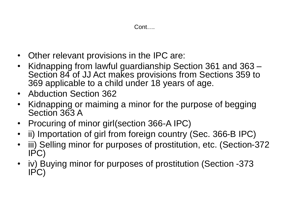- Other relevant provisions in the IPC are:
- Kidnapping from lawful guardianship Section 361 and 363 Section 84 of JJ Act makes provisions from Sections 359 to 369 applicable to a child under 18 years of age.
- Abduction Section 362
- Kidnapping or maiming a minor for the purpose of begging Section 363 A
- Procuring of minor girl(section 366-A IPC)
- ii) Importation of girl from foreign country (Sec. 366-B IPC)
- iii) Selling minor for purposes of prostitution, etc. (Section-372 IPC)
- iv) Buying minor for purposes of prostitution (Section -373 IPC)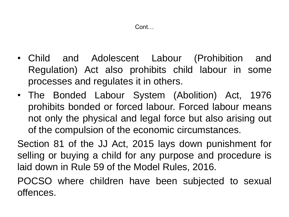- Child and Adolescent Labour (Prohibition and Regulation) Act also prohibits child labour in some processes and regulates it in others.
- The Bonded Labour System (Abolition) Act, 1976 prohibits bonded or forced labour. Forced labour means not only the physical and legal force but also arising out of the compulsion of the economic circumstances.

Section 81 of the JJ Act, 2015 lays down punishment for selling or buying a child for any purpose and procedure is laid down in Rule 59 of the Model Rules, 2016.

POCSO where children have been subjected to sexual offences.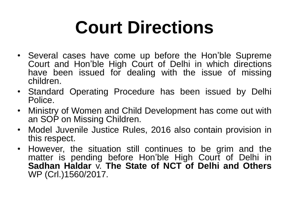## **Court Directions**

- Several cases have come up before the Hon'ble Supreme Court and Hon'ble High Court of Delhi in which directions have been issued for dealing with the issue of missing children.
- Standard Operating Procedure has been issued by Delhi Police.
- Ministry of Women and Child Development has come out with an SOP on Missing Children.
- Model Juvenile Justice Rules, 2016 also contain provision in this respect.
- However, the situation still continues to be grim and the matter is pending before Hon'ble High Court of Delhi in **Sadhan Haldar** v. **The State of NCT of Delhi and Others** WP (Crl.)1560/2017.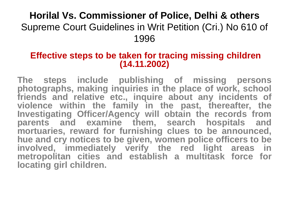### **Horilal Vs. Commissioner of Police, Delhi & others** Supreme Court Guidelines in Writ Petition (Cri.) No 610 of 1996

### **Effective steps to be taken for tracing missing children (14.11.2002)**

**The steps include publishing of missing persons photographs, making inquiries in the place of work, school friends and relative etc., inquire about any incidents of violence within the family in the past, thereafter, the Investigating Officer/Agency will obtain the records from parents and examine them, search hospitals and mortuaries, reward for furnishing clues to be announced, hue and cry notices to be given, women police officers to be involved, immediately verify the red light areas in metropolitan cities and establish a multitask force for locating girl children.**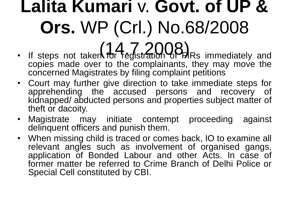## **Lalita Kumari** v. **Govt. of UP & Ors.** WP (Crl.) No.68/2008

- If steps not taken for registration CPHRs immediately and copies made over to the complainants, they may move the concerned Magistrates by filing complaint petitions
- Court may further give direction to take immediate steps for apprehending the accused persons and recovery of kidnapped/ abducted persons and properties subject matter of theft or dacoity.
- Magistrate may initiate contempt proceeding against delinquent officers and punish them.
- When missing child is traced or comes back, IO to examine all relevant angles such as involvement of organised gangs, application of Bonded Labour and other Acts. In case of former matter be referred to Crime Branch of Delhi Police or Special Cell constituted by CBI.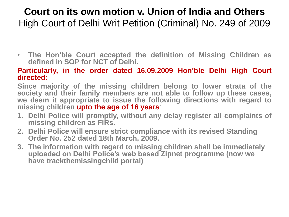### **Court on its own motion v. Union of India and Others** High Court of Delhi Writ Petition (Criminal) No. 249 of 2009

• **The Hon'ble Court accepted the definition of Missing Children as defined in SOP for NCT of Delhi.**

#### **Particularly, in the order dated 16.09.2009 Hon'ble Delhi High Court directed:**

**Since majority of the missing children belong to lower strata of the society and their family members are not able to follow up these cases, we deem it appropriate to issue the following directions with regard to missing children upto the age of 16 years**:

- **1. Delhi Police will promptly, without any delay register all complaints of missing children as FIRs.**
- **2. Delhi Police will ensure strict compliance with its revised Standing Order No. 252 dated 18th March, 2009.**
- **3. The information with regard to missing children shall be immediately uploaded on Delhi Police's web based Zipnet programme (now we have trackthemissingchild portal)**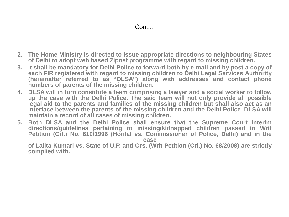- **2. The Home Ministry is directed to issue appropriate directions to neighbouring States of Delhi to adopt web based Zipnet programme with regard to missing children.**
- **3. It shall be mandatory for Delhi Police to forward both by e-mail and by post a copy of each FIR registered with regard to missing children to Delhi Legal Services Authority (hereinafter referred to as "DLSA") along with addresses and contact phone numbers of parents of the missing children.**
- **4. DLSA will in turn constitute a team comprising a lawyer and a social worker to follow up the case with the Delhi Police. The said team will not only provide all possible legal aid to the parents and families of the missing children but shall also act as an interface between the parents of the missing children and the Delhi Police. DLSA will maintain a record of all cases of missing children.**
- **5. Both DLSA and the Delhi Police shall ensure that the Supreme Court interim directions/guidelines pertaining to missing/kidnapped children passed in Writ Petition (Crl.) No. 610/1996 (Horilal vs. Commissioner of Police, Delhi) and in the case**

**of Lalita Kumari vs. State of U.P. and Ors. (Writ Petition (Crl.) No. 68/2008) are strictly complied with.**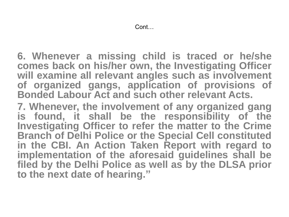**6. Whenever a missing child is traced or he/she comes back on his/her own, the Investigating Officer will examine all relevant angles such as involvement of organized gangs, application of provisions of Bonded Labour Act and such other relevant Acts.**

**7. Whenever, the involvement of any organized gang is found, it shall be the responsibility of the Investigating Officer to refer the matter to the Crime Branch of Delhi Police or the Special Cell constituted in the CBI. An Action Taken Report with regard to implementation of the aforesaid guidelines shall be filed by the Delhi Police as well as by the DLSA prior to the next date of hearing."**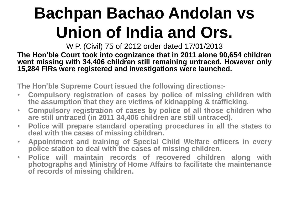### **Bachpan Bachao Andolan vs Union of India and Ors.**

W.P. (Civil) 75 of 2012 order dated 17/01/2013

**The Hon'ble Court took into cognizance that in 2011 alone 90,654 children went missing with 34,406 children still remaining untraced. However only 15,284 FIRs were registered and investigations were launched.**

**The Hon'ble Supreme Court issued the following directions:-**

- **Compulsory registration of cases by police of missing children with the assumption that they are victims of kidnapping & trafficking.**
- **Compulsory registration of cases by police of all those children who are still untraced (in 2011 34,406 children are still untraced).**
- **Police will prepare standard operating procedures in all the states to deal with the cases of missing children.**
- **Appointment and training of Special Child Welfare officers in every police station to deal with the cases of missing children.**
- **Police will maintain records of recovered children along with photographs and Ministry of Home Affairs to facilitate the maintenance of records of missing children.**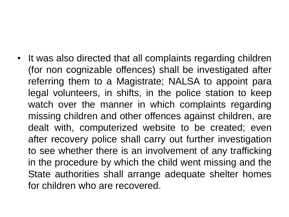• It was also directed that all complaints regarding children (for non cognizable offences) shall be investigated after referring them to a Magistrate; NALSA to appoint para legal volunteers, in shifts, in the police station to keep watch over the manner in which complaints regarding missing children and other offences against children, are dealt with, computerized website to be created; even after recovery police shall carry out further investigation to see whether there is an involvement of any trafficking in the procedure by which the child went missing and the State authorities shall arrange adequate shelter homes for children who are recovered.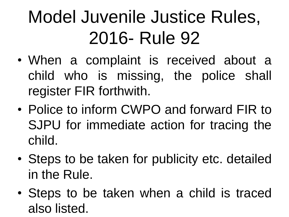# Model Juvenile Justice Rules, 2016- Rule 92

- When a complaint is received about a child who is missing, the police shall register FIR forthwith.
- Police to inform CWPO and forward FIR to SJPU for immediate action for tracing the child.
- Steps to be taken for publicity etc. detailed in the Rule.
- Steps to be taken when a child is traced also listed.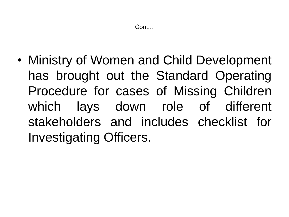• Ministry of Women and Child Development has brought out the Standard Operating Procedure for cases of Missing Children which lays down role of different stakeholders and includes checklist for Investigating Officers.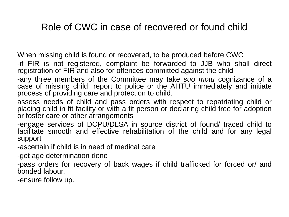#### Role of CWC in case of recovered or found child

When missing child is found or recovered, to be produced before CWC

-if FIR is not registered, complaint be forwarded to JJB who shall direct registration of FIR and also for offences committed against the child

-any three members of the Committee may take *suo motu* cognizance of a case of missing child, report to police or the AHTU immediately and initiate process of providing care and protection to child.

assess needs of child and pass orders with respect to repatriating child or placing child in fit facility or with a fit person or declaring child free for adoption or foster care or other arrangements

-engage services of DCPU/DLSA in source district of found/ traced child to facilitate smooth and effective rehabilitation of the child and for any legal support

-ascertain if child is in need of medical care

-get age determination done

-pass orders for recovery of back wages if child trafficked for forced or/ and bonded labour.

-ensure follow up.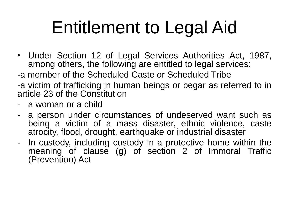# Entitlement to Legal Aid

- Under Section 12 of Legal Services Authorities Act, 1987, among others, the following are entitled to legal services:
- -a member of the Scheduled Caste or Scheduled Tribe

-a victim of trafficking in human beings or begar as referred to in article 23 of the Constitution

- a woman or a child
- a person under circumstances of undeserved want such as being a victim of a mass disaster, ethnic violence, caste atrocity, flood, drought, earthquake or industrial disaster
- In custody, including custody in a protective home within the meaning of clause (g) of section 2 of Immoral Traffic (Prevention) Act